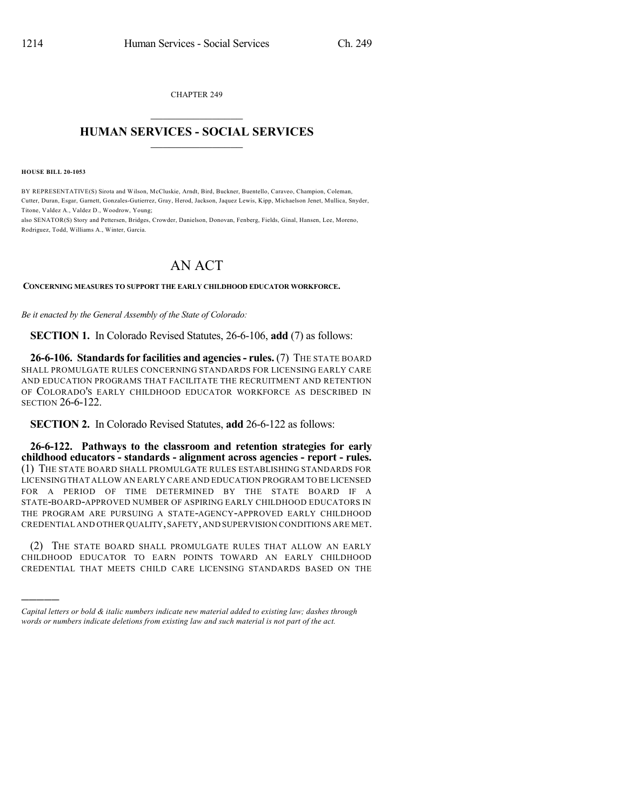CHAPTER 249  $\mathcal{L}_\text{max}$  . The set of the set of the set of the set of the set of the set of the set of the set of the set of the set of the set of the set of the set of the set of the set of the set of the set of the set of the set

## **HUMAN SERVICES - SOCIAL SERVICES**  $\frac{1}{2}$  ,  $\frac{1}{2}$  ,  $\frac{1}{2}$  ,  $\frac{1}{2}$  ,  $\frac{1}{2}$  ,  $\frac{1}{2}$

**HOUSE BILL 20-1053**

)))))

BY REPRESENTATIVE(S) Sirota and Wilson, McCluskie, Arndt, Bird, Buckner, Buentello, Caraveo, Champion, Coleman, Cutter, Duran, Esgar, Garnett, Gonzales-Gutierrez, Gray, Herod, Jackson, Jaquez Lewis, Kipp, Michaelson Jenet, Mullica, Snyder, Titone, Valdez A., Valdez D., Woodrow, Young;

also SENATOR(S) Story and Pettersen, Bridges, Crowder, Danielson, Donovan, Fenberg, Fields, Ginal, Hansen, Lee, Moreno, Rodriguez, Todd, Williams A., Winter, Garcia.

## AN ACT

**CONCERNING MEASURES TO SUPPORT THE EARLY CHILDHOOD EDUCATOR WORKFORCE.**

*Be it enacted by the General Assembly of the State of Colorado:*

**SECTION 1.** In Colorado Revised Statutes, 26-6-106, **add** (7) as follows:

**26-6-106. Standardsfor facilities and agencies- rules.** (7) THE STATE BOARD SHALL PROMULGATE RULES CONCERNING STANDARDS FOR LICENSING EARLY CARE AND EDUCATION PROGRAMS THAT FACILITATE THE RECRUITMENT AND RETENTION OF COLORADO'S EARLY CHILDHOOD EDUCATOR WORKFORCE AS DESCRIBED IN SECTION 26-6-122.

**SECTION 2.** In Colorado Revised Statutes, **add** 26-6-122 as follows:

**26-6-122. Pathways to the classroom and retention strategies for early childhood educators - standards - alignment across agencies - report - rules.** (1) THE STATE BOARD SHALL PROMULGATE RULES ESTABLISHING STANDARDS FOR LICENSING THAT ALLOW AN EARLY CARE AND EDUCATION PROGRAM TO BE LICENSED FOR A PERIOD OF TIME DETERMINED BY THE STATE BOARD IF A STATE-BOARD-APPROVED NUMBER OF ASPIRING EARLY CHILDHOOD EDUCATORS IN THE PROGRAM ARE PURSUING A STATE-AGENCY-APPROVED EARLY CHILDHOOD CREDENTIAL AND OTHER QUALITY,SAFETY,AND SUPERVISION CONDITIONS ARE MET.

(2) THE STATE BOARD SHALL PROMULGATE RULES THAT ALLOW AN EARLY CHILDHOOD EDUCATOR TO EARN POINTS TOWARD AN EARLY CHILDHOOD CREDENTIAL THAT MEETS CHILD CARE LICENSING STANDARDS BASED ON THE

*Capital letters or bold & italic numbers indicate new material added to existing law; dashes through words or numbers indicate deletions from existing law and such material is not part of the act.*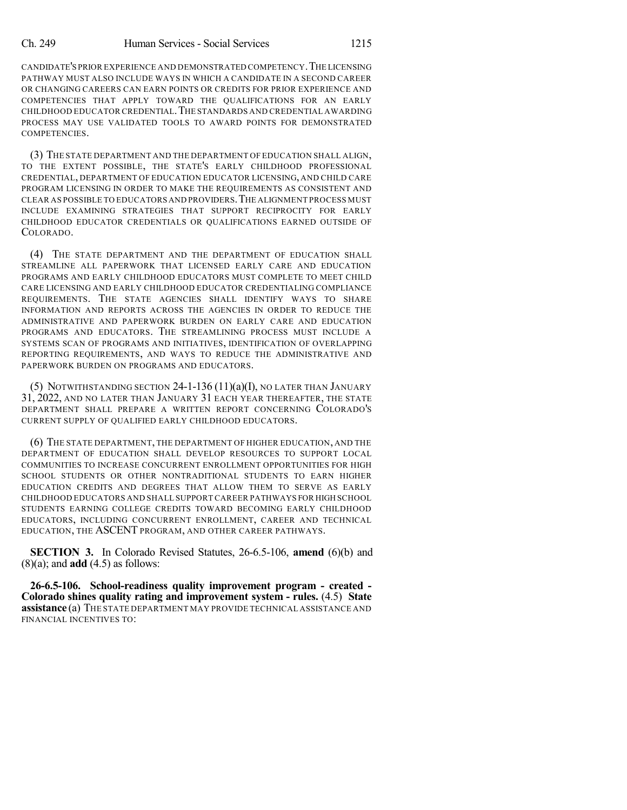CANDIDATE'S PRIOR EXPERIENCE AND DEMONSTRATED COMPETENCY.THE LICENSING PATHWAY MUST ALSO INCLUDE WAYS IN WHICH A CANDIDATE IN A SECOND CAREER OR CHANGING CAREERS CAN EARN POINTS OR CREDITS FOR PRIOR EXPERIENCE AND COMPETENCIES THAT APPLY TOWARD THE QUALIFICATIONS FOR AN EARLY CHILDHOOD EDUCATOR CREDENTIAL.THE STANDARDS AND CREDENTIAL AWARDING PROCESS MAY USE VALIDATED TOOLS TO AWARD POINTS FOR DEMONSTRATED **COMPETENCIES** 

(3) THE STATE DEPARTMENT AND THE DEPARTMENT OF EDUCATION SHALL ALIGN, TO THE EXTENT POSSIBLE, THE STATE'S EARLY CHILDHOOD PROFESSIONAL CREDENTIAL, DEPARTMENT OF EDUCATION EDUCATOR LICENSING, AND CHILD CARE PROGRAM LICENSING IN ORDER TO MAKE THE REQUIREMENTS AS CONSISTENT AND CLEAR AS POSSIBLE TO EDUCATORS AND PROVIDERS.THE ALIGNMENT PROCESS MUST INCLUDE EXAMINING STRATEGIES THAT SUPPORT RECIPROCITY FOR EARLY CHILDHOOD EDUCATOR CREDENTIALS OR QUALIFICATIONS EARNED OUTSIDE OF COLORADO.

(4) THE STATE DEPARTMENT AND THE DEPARTMENT OF EDUCATION SHALL STREAMLINE ALL PAPERWORK THAT LICENSED EARLY CARE AND EDUCATION PROGRAMS AND EARLY CHILDHOOD EDUCATORS MUST COMPLETE TO MEET CHILD CARE LICENSING AND EARLY CHILDHOOD EDUCATOR CREDENTIALING COMPLIANCE REQUIREMENTS. THE STATE AGENCIES SHALL IDENTIFY WAYS TO SHARE INFORMATION AND REPORTS ACROSS THE AGENCIES IN ORDER TO REDUCE THE ADMINISTRATIVE AND PAPERWORK BURDEN ON EARLY CARE AND EDUCATION PROGRAMS AND EDUCATORS. THE STREAMLINING PROCESS MUST INCLUDE A SYSTEMS SCAN OF PROGRAMS AND INITIATIVES, IDENTIFICATION OF OVERLAPPING REPORTING REQUIREMENTS, AND WAYS TO REDUCE THE ADMINISTRATIVE AND PAPERWORK BURDEN ON PROGRAMS AND EDUCATORS.

(5) NOTWITHSTANDING SECTION 24-1-136 (11)(a)(I), NO LATER THAN JANUARY 31, 2022, AND NO LATER THAN JANUARY 31 EACH YEAR THEREAFTER, THE STATE DEPARTMENT SHALL PREPARE A WRITTEN REPORT CONCERNING COLORADO'S CURRENT SUPPLY OF QUALIFIED EARLY CHILDHOOD EDUCATORS.

(6) THE STATE DEPARTMENT, THE DEPARTMENT OF HIGHER EDUCATION, AND THE DEPARTMENT OF EDUCATION SHALL DEVELOP RESOURCES TO SUPPORT LOCAL COMMUNITIES TO INCREASE CONCURRENT ENROLLMENT OPPORTUNITIES FOR HIGH SCHOOL STUDENTS OR OTHER NONTRADITIONAL STUDENTS TO EARN HIGHER EDUCATION CREDITS AND DEGREES THAT ALLOW THEM TO SERVE AS EARLY CHILDHOOD EDUCATORS AND SHALL SUPPORT CAREER PATHWAYS FOR HIGH SCHOOL STUDENTS EARNING COLLEGE CREDITS TOWARD BECOMING EARLY CHILDHOOD EDUCATORS, INCLUDING CONCURRENT ENROLLMENT, CAREER AND TECHNICAL EDUCATION, THE ASCENT PROGRAM, AND OTHER CAREER PATHWAYS.

**SECTION 3.** In Colorado Revised Statutes, 26-6.5-106, **amend** (6)(b) and (8)(a); and **add** (4.5) as follows:

**26-6.5-106. School-readiness quality improvement program - created - Colorado shines quality rating and improvement system - rules.** (4.5) **State assistance** (a) THE STATE DEPARTMENT MAY PROVIDE TECHNICAL ASSISTANCE AND FINANCIAL INCENTIVES TO: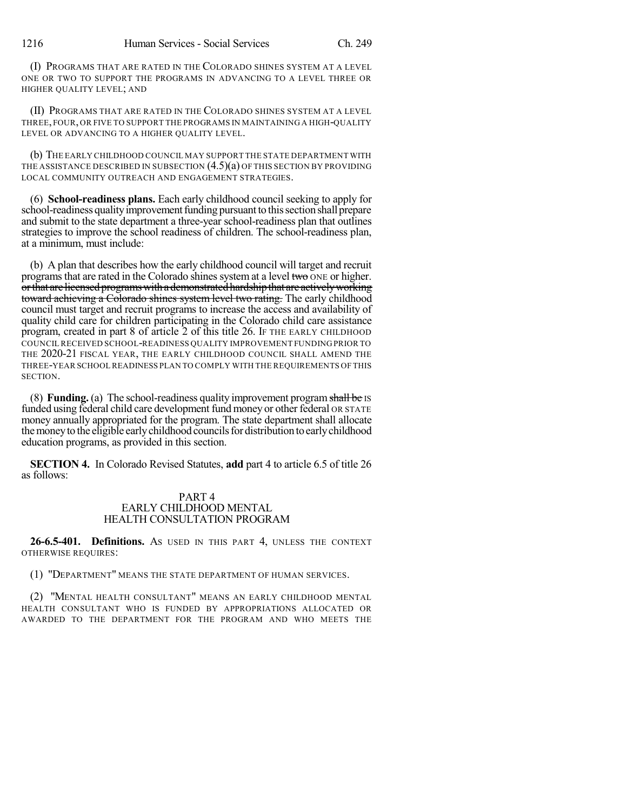(I) PROGRAMS THAT ARE RATED IN THE COLORADO SHINES SYSTEM AT A LEVEL ONE OR TWO TO SUPPORT THE PROGRAMS IN ADVANCING TO A LEVEL THREE OR HIGHER QUALITY LEVEL; AND

(II) PROGRAMS THAT ARE RATED IN THE COLORADO SHINES SYSTEM AT A LEVEL THREE, FOUR, OR FIVE TO SUPPORT THE PROGRAMS IN MAINTAINING A HIGH-QUALITY LEVEL OR ADVANCING TO A HIGHER QUALITY LEVEL.

(b) THE EARLY CHILDHOOD COUNCIL MAY SUPPORT THE STATE DEPARTMENT WITH THE ASSISTANCE DESCRIBED IN SUBSECTION (4.5)(a) OF THIS SECTION BY PROVIDING LOCAL COMMUNITY OUTREACH AND ENGAGEMENT STRATEGIES.

(6) **School-readiness plans.** Each early childhood council seeking to apply for school-readiness quality improvement funding pursuant to this section shall prepare and submit to the state department a three-year school-readiness plan that outlines strategies to improve the school readiness of children. The school-readiness plan, at a minimum, must include:

(b) A plan that describes how the early childhood council will target and recruit programs that are rated in the Colorado shines system at a level two  $\overline{ONE}$  or higher. or that are licensed programs with a demonstrated hardship that are actively working toward achieving a Colorado shines system level two rating. The early childhood council must target and recruit programs to increase the access and availability of quality child care for children participating in the Colorado child care assistance program, created in part 8 of article 2 of this title 26. IF THE EARLY CHILDHOOD COUNCIL RECEIVED SCHOOL-READINESS QUALITY IMPROVEMENT FUNDING PRIOR TO THE 2020-21 FISCAL YEAR, THE EARLY CHILDHOOD COUNCIL SHALL AMEND THE THREE-YEAR SCHOOL READINESS PLAN TO COMPLY WITH THE REQUIREMENTS OF THIS SECTION.

(8) **Funding.** (a) The school-readiness quality improvement programshall be IS funded using federal child care development fund money or other federal OR STATE money annually appropriated for the program. The state department shall allocate themoneyto the eligible earlychildhood councilsfor distributiontoearlychildhood education programs, as provided in this section.

**SECTION 4.** In Colorado Revised Statutes, **add** part 4 to article 6.5 of title 26 as follows:

## PART 4 EARLY CHILDHOOD MENTAL HEALTH CONSULTATION PROGRAM

**26-6.5-401. Definitions.** AS USED IN THIS PART 4, UNLESS THE CONTEXT OTHERWISE REQUIRES:

(1) "DEPARTMENT" MEANS THE STATE DEPARTMENT OF HUMAN SERVICES.

(2) "MENTAL HEALTH CONSULTANT" MEANS AN EARLY CHILDHOOD MENTAL HEALTH CONSULTANT WHO IS FUNDED BY APPROPRIATIONS ALLOCATED OR AWARDED TO THE DEPARTMENT FOR THE PROGRAM AND WHO MEETS THE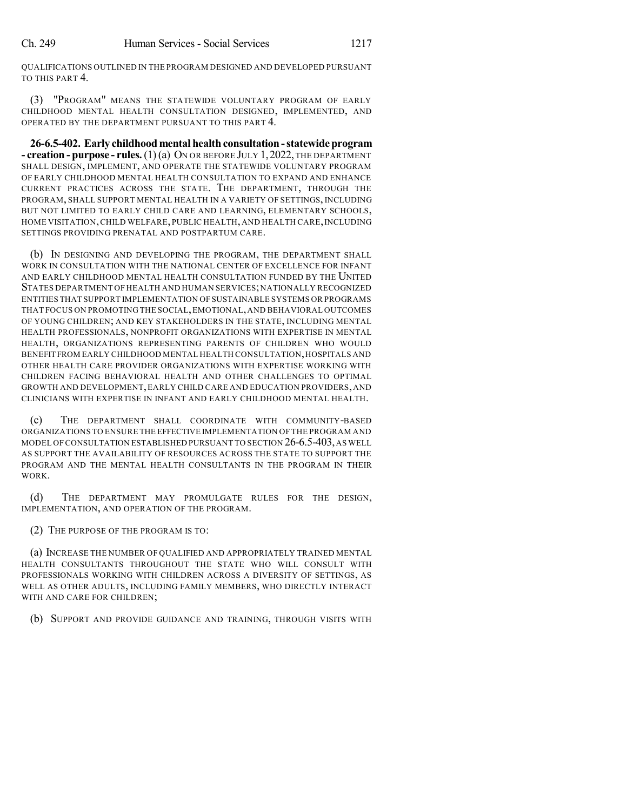QUALIFICATIONS OUTLINED IN THE PROGRAM DESIGNED AND DEVELOPED PURSUANT TO THIS PART 4.

(3) "PROGRAM" MEANS THE STATEWIDE VOLUNTARY PROGRAM OF EARLY CHILDHOOD MENTAL HEALTH CONSULTATION DESIGNED, IMPLEMENTED, AND OPERATED BY THE DEPARTMENT PURSUANT TO THIS PART 4.

**26-6.5-402. Early childhood mental health consultation -statewideprogram - creation - purpose - rules.**(1)(a) ON OR BEFORE JULY 1,2022, THE DEPARTMENT SHALL DESIGN, IMPLEMENT, AND OPERATE THE STATEWIDE VOLUNTARY PROGRAM OF EARLY CHILDHOOD MENTAL HEALTH CONSULTATION TO EXPAND AND ENHANCE CURRENT PRACTICES ACROSS THE STATE. THE DEPARTMENT, THROUGH THE PROGRAM, SHALL SUPPORT MENTAL HEALTH IN A VARIETY OF SETTINGS, INCLUDING BUT NOT LIMITED TO EARLY CHILD CARE AND LEARNING, ELEMENTARY SCHOOLS, HOME VISITATION,CHILD WELFARE, PUBLIC HEALTH, AND HEALTH CARE,INCLUDING SETTINGS PROVIDING PRENATAL AND POSTPARTUM CARE.

(b) IN DESIGNING AND DEVELOPING THE PROGRAM, THE DEPARTMENT SHALL WORK IN CONSULTATION WITH THE NATIONAL CENTER OF EXCELLENCE FOR INFANT AND EARLY CHILDHOOD MENTAL HEALTH CONSULTATION FUNDED BY THE UNITED STATES DEPARTMENT OF HEALTH AND HUMAN SERVICES; NATIONALLY RECOGNIZED ENTITIES THAT SUPPORT IMPLEMENTATION OF SUSTAINABLE SYSTEMS OR PROGRAMS THAT FOCUS ON PROMOTING THE SOCIAL,EMOTIONAL,AND BEHAVIORAL OUTCOMES OF YOUNG CHILDREN; AND KEY STAKEHOLDERS IN THE STATE, INCLUDING MENTAL HEALTH PROFESSIONALS, NONPROFIT ORGANIZATIONS WITH EXPERTISE IN MENTAL HEALTH, ORGANIZATIONS REPRESENTING PARENTS OF CHILDREN WHO WOULD BENEFIT FROM EARLY CHILDHOOD MENTAL HEALTH CONSULTATION, HOSPITALS AND OTHER HEALTH CARE PROVIDER ORGANIZATIONS WITH EXPERTISE WORKING WITH CHILDREN FACING BEHAVIORAL HEALTH AND OTHER CHALLENGES TO OPTIMAL GROWTH AND DEVELOPMENT,EARLY CHILD CARE AND EDUCATION PROVIDERS,AND CLINICIANS WITH EXPERTISE IN INFANT AND EARLY CHILDHOOD MENTAL HEALTH.

(c) THE DEPARTMENT SHALL COORDINATE WITH COMMUNITY-BASED ORGANIZATIONS TO ENSURE THE EFFECTIVE IMPLEMENTATION OF THE PROGRAM AND MODEL OF CONSULTATION ESTABLISHED PURSUANT TO SECTION 26-6.5-403,AS WELL AS SUPPORT THE AVAILABILITY OF RESOURCES ACROSS THE STATE TO SUPPORT THE PROGRAM AND THE MENTAL HEALTH CONSULTANTS IN THE PROGRAM IN THEIR WORK.

(d) THE DEPARTMENT MAY PROMULGATE RULES FOR THE DESIGN, IMPLEMENTATION, AND OPERATION OF THE PROGRAM.

(2) THE PURPOSE OF THE PROGRAM IS TO:

(a) INCREASE THE NUMBER OF QUALIFIED AND APPROPRIATELY TRAINED MENTAL HEALTH CONSULTANTS THROUGHOUT THE STATE WHO WILL CONSULT WITH PROFESSIONALS WORKING WITH CHILDREN ACROSS A DIVERSITY OF SETTINGS, AS WELL AS OTHER ADULTS, INCLUDING FAMILY MEMBERS, WHO DIRECTLY INTERACT WITH AND CARE FOR CHILDREN;

(b) SUPPORT AND PROVIDE GUIDANCE AND TRAINING, THROUGH VISITS WITH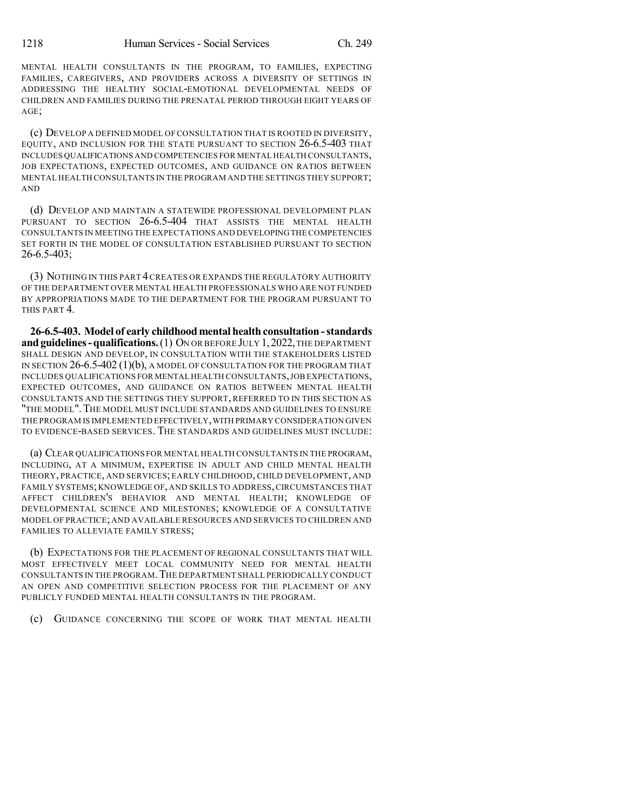MENTAL HEALTH CONSULTANTS IN THE PROGRAM, TO FAMILIES, EXPECTING FAMILIES, CAREGIVERS, AND PROVIDERS ACROSS A DIVERSITY OF SETTINGS IN ADDRESSING THE HEALTHY SOCIAL-EMOTIONAL DEVELOPMENTAL NEEDS OF CHILDREN AND FAMILIES DURING THE PRENATAL PERIOD THROUGH EIGHT YEARS OF AGE;

(c) DEVELOP A DEFINED MODEL OF CONSULTATION THAT IS ROOTED IN DIVERSITY, EQUITY, AND INCLUSION FOR THE STATE PURSUANT TO SECTION 26-6.5-403 THAT INCLUDES QUALIFICATIONS AND COMPETENCIES FOR MENTAL HEALTH CONSULTANTS, JOB EXPECTATIONS, EXPECTED OUTCOMES, AND GUIDANCE ON RATIOS BETWEEN MENTAL HEALTH CONSULTANTS IN THE PROGRAM AND THE SETTINGS THEY SUPPORT; AND

(d) DEVELOP AND MAINTAIN A STATEWIDE PROFESSIONAL DEVELOPMENT PLAN PURSUANT TO SECTION 26-6.5-404 THAT ASSISTS THE MENTAL HEALTH CONSULTANTS IN MEETING THE EXPECTATIONS AND DEVELOPINGTHE COMPETENCIES SET FORTH IN THE MODEL OF CONSULTATION ESTABLISHED PURSUANT TO SECTION 26-6.5-403;

(3) NOTHING IN THIS PART 4CREATES OR EXPANDS THE REGULATORY AUTHORITY OF THE DEPARTMENT OVER MENTAL HEALTH PROFESSIONALS WHO ARE NOT FUNDED BY APPROPRIATIONS MADE TO THE DEPARTMENT FOR THE PROGRAM PURSUANT TO THIS PART 4.

**26-6.5-403. Model of early childhoodmental health consultation -standards and guidelines - qualifications.** (1) ON OR BEFORE JULY 1, 2022, THE DEPARTMENT SHALL DESIGN AND DEVELOP, IN CONSULTATION WITH THE STAKEHOLDERS LISTED IN SECTION  $26-6.5-402(1)(b)$ , A MODEL OF CONSULTATION FOR THE PROGRAM THAT INCLUDES QUALIFICATIONS FOR MENTAL HEALTH CONSULTANTS,JOBEXPECTATIONS, EXPECTED OUTCOMES, AND GUIDANCE ON RATIOS BETWEEN MENTAL HEALTH CONSULTANTS AND THE SETTINGS THEY SUPPORT, REFERRED TO IN THIS SECTION AS "THE MODEL".THE MODEL MUST INCLUDE STANDARDS AND GUIDELINES TO ENSURE THE PROGRAM IS IMPLEMENTED EFFECTIVELY,WITH PRIMARY CONSIDERATION GIVEN TO EVIDENCE-BASED SERVICES. THE STANDARDS AND GUIDELINES MUST INCLUDE:

(a) CLEAR QUALIFICATIONS FOR MENTAL HEALTH CONSULTANTS IN THE PROGRAM, INCLUDING, AT A MINIMUM, EXPERTISE IN ADULT AND CHILD MENTAL HEALTH THEORY, PRACTICE, AND SERVICES; EARLY CHILDHOOD, CHILD DEVELOPMENT, AND FAMILY SYSTEMS;KNOWLEDGE OF, AND SKILLS TO ADDRESS,CIRCUMSTANCES THAT AFFECT CHILDREN'S BEHAVIOR AND MENTAL HEALTH; KNOWLEDGE OF DEVELOPMENTAL SCIENCE AND MILESTONES; KNOWLEDGE OF A CONSULTATIVE MODEL OF PRACTICE; AND AVAILABLE RESOURCES AND SERVICES TO CHILDREN AND FAMILIES TO ALLEVIATE FAMILY STRESS;

(b) EXPECTATIONS FOR THE PLACEMENT OF REGIONAL CONSULTANTS THAT WILL MOST EFFECTIVELY MEET LOCAL COMMUNITY NEED FOR MENTAL HEALTH CONSULTANTS IN THE PROGRAM.THE DEPARTMENT SHALL PERIODICALLY CONDUCT AN OPEN AND COMPETITIVE SELECTION PROCESS FOR THE PLACEMENT OF ANY PUBLICLY FUNDED MENTAL HEALTH CONSULTANTS IN THE PROGRAM.

(c) GUIDANCE CONCERNING THE SCOPE OF WORK THAT MENTAL HEALTH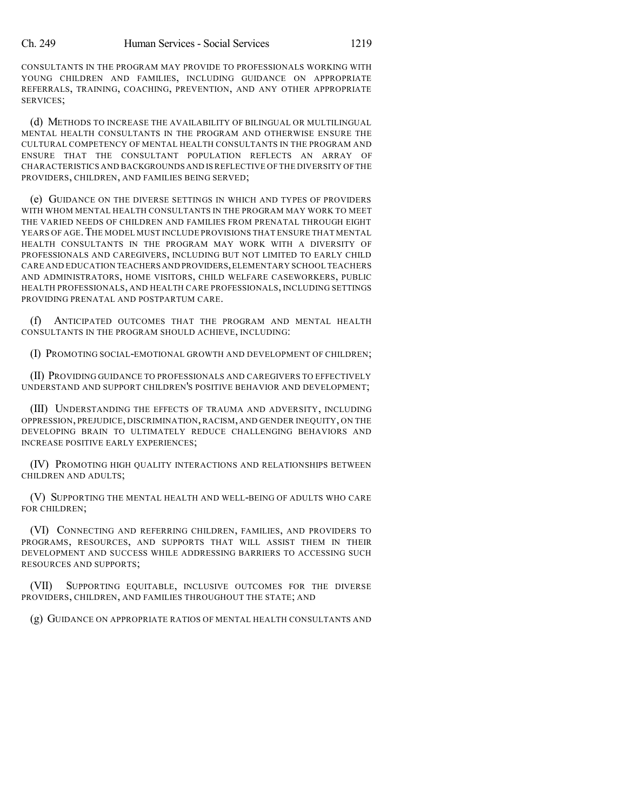CONSULTANTS IN THE PROGRAM MAY PROVIDE TO PROFESSIONALS WORKING WITH YOUNG CHILDREN AND FAMILIES, INCLUDING GUIDANCE ON APPROPRIATE REFERRALS, TRAINING, COACHING, PREVENTION, AND ANY OTHER APPROPRIATE SERVICES;

(d) METHODS TO INCREASE THE AVAILABILITY OF BILINGUAL OR MULTILINGUAL MENTAL HEALTH CONSULTANTS IN THE PROGRAM AND OTHERWISE ENSURE THE CULTURAL COMPETENCY OF MENTAL HEALTH CONSULTANTS IN THE PROGRAM AND ENSURE THAT THE CONSULTANT POPULATION REFLECTS AN ARRAY OF CHARACTERISTICS AND BACKGROUNDS AND IS REFLECTIVE OF THE DIVERSITY OF THE PROVIDERS, CHILDREN, AND FAMILIES BEING SERVED;

(e) GUIDANCE ON THE DIVERSE SETTINGS IN WHICH AND TYPES OF PROVIDERS WITH WHOM MENTAL HEALTH CONSULTANTS IN THE PROGRAM MAY WORK TO MEET THE VARIED NEEDS OF CHILDREN AND FAMILIES FROM PRENATAL THROUGH EIGHT YEARS OF AGE. THE MODEL MUST INCLUDE PROVISIONS THAT ENSURE THAT MENTAL HEALTH CONSULTANTS IN THE PROGRAM MAY WORK WITH A DIVERSITY OF PROFESSIONALS AND CAREGIVERS, INCLUDING BUT NOT LIMITED TO EARLY CHILD CARE AND EDUCATION TEACHERS AND PROVIDERS,ELEMENTARY SCHOOL TEACHERS AND ADMINISTRATORS, HOME VISITORS, CHILD WELFARE CASEWORKERS, PUBLIC HEALTH PROFESSIONALS, AND HEALTH CARE PROFESSIONALS, INCLUDING SETTINGS PROVIDING PRENATAL AND POSTPARTUM CARE.

(f) ANTICIPATED OUTCOMES THAT THE PROGRAM AND MENTAL HEALTH CONSULTANTS IN THE PROGRAM SHOULD ACHIEVE, INCLUDING:

(I) PROMOTING SOCIAL-EMOTIONAL GROWTH AND DEVELOPMENT OF CHILDREN;

(II) PROVIDING GUIDANCE TO PROFESSIONALS AND CAREGIVERS TO EFFECTIVELY UNDERSTAND AND SUPPORT CHILDREN'S POSITIVE BEHAVIOR AND DEVELOPMENT;

(III) UNDERSTANDING THE EFFECTS OF TRAUMA AND ADVERSITY, INCLUDING OPPRESSION, PREJUDICE, DISCRIMINATION,RACISM, AND GENDER INEQUITY, ON THE DEVELOPING BRAIN TO ULTIMATELY REDUCE CHALLENGING BEHAVIORS AND INCREASE POSITIVE EARLY EXPERIENCES;

(IV) PROMOTING HIGH QUALITY INTERACTIONS AND RELATIONSHIPS BETWEEN CHILDREN AND ADULTS;

(V) SUPPORTING THE MENTAL HEALTH AND WELL-BEING OF ADULTS WHO CARE FOR CHILDREN;

(VI) CONNECTING AND REFERRING CHILDREN, FAMILIES, AND PROVIDERS TO PROGRAMS, RESOURCES, AND SUPPORTS THAT WILL ASSIST THEM IN THEIR DEVELOPMENT AND SUCCESS WHILE ADDRESSING BARRIERS TO ACCESSING SUCH RESOURCES AND SUPPORTS;

SUPPORTING EQUITABLE, INCLUSIVE OUTCOMES FOR THE DIVERSE PROVIDERS, CHILDREN, AND FAMILIES THROUGHOUT THE STATE; AND

(g) GUIDANCE ON APPROPRIATE RATIOS OF MENTAL HEALTH CONSULTANTS AND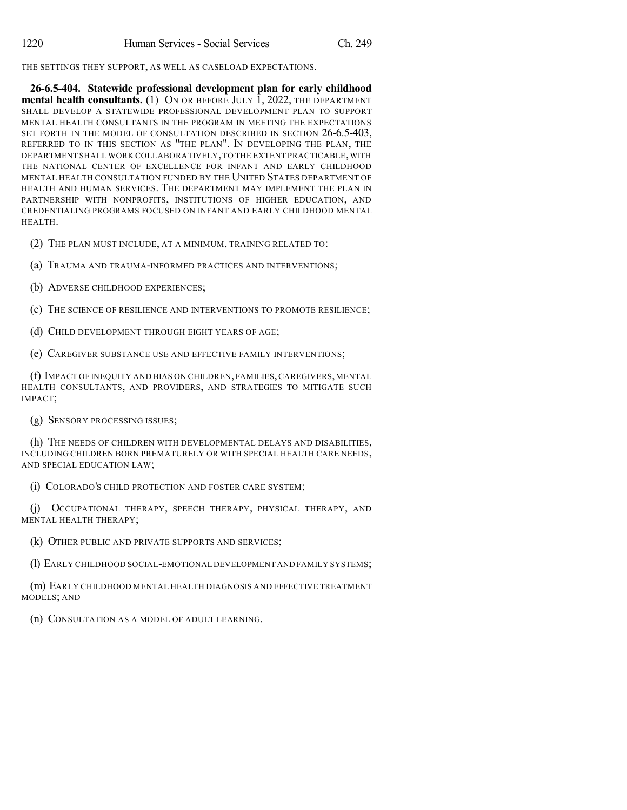THE SETTINGS THEY SUPPORT, AS WELL AS CASELOAD EXPECTATIONS.

**26-6.5-404. Statewide professional development plan for early childhood mental health consultants.** (1) ON OR BEFORE JULY 1, 2022, THE DEPARTMENT SHALL DEVELOP A STATEWIDE PROFESSIONAL DEVELOPMENT PLAN TO SUPPORT MENTAL HEALTH CONSULTANTS IN THE PROGRAM IN MEETING THE EXPECTATIONS SET FORTH IN THE MODEL OF CONSULTATION DESCRIBED IN SECTION 26-6.5-403, REFERRED TO IN THIS SECTION AS "THE PLAN". IN DEVELOPING THE PLAN, THE DEPARTMENT SHALL WORK COLLABORATIVELY,TO THE EXTENT PRACTICABLE,WITH THE NATIONAL CENTER OF EXCELLENCE FOR INFANT AND EARLY CHILDHOOD MENTAL HEALTH CONSULTATION FUNDED BY THE UNITED STATES DEPARTMENT OF HEALTH AND HUMAN SERVICES. THE DEPARTMENT MAY IMPLEMENT THE PLAN IN PARTNERSHIP WITH NONPROFITS, INSTITUTIONS OF HIGHER EDUCATION, AND CREDENTIALING PROGRAMS FOCUSED ON INFANT AND EARLY CHILDHOOD MENTAL HEALTH.

(2) THE PLAN MUST INCLUDE, AT A MINIMUM, TRAINING RELATED TO:

(a) TRAUMA AND TRAUMA-INFORMED PRACTICES AND INTERVENTIONS;

(b) ADVERSE CHILDHOOD EXPERIENCES;

(c) THE SCIENCE OF RESILIENCE AND INTERVENTIONS TO PROMOTE RESILIENCE;

(d) CHILD DEVELOPMENT THROUGH EIGHT YEARS OF AGE;

(e) CAREGIVER SUBSTANCE USE AND EFFECTIVE FAMILY INTERVENTIONS;

(f) IMPACT OF INEQUITY AND BIAS ON CHILDREN, FAMILIES,CAREGIVERS,MENTAL HEALTH CONSULTANTS, AND PROVIDERS, AND STRATEGIES TO MITIGATE SUCH IMPACT;

(g) SENSORY PROCESSING ISSUES;

(h) THE NEEDS OF CHILDREN WITH DEVELOPMENTAL DELAYS AND DISABILITIES, INCLUDING CHILDREN BORN PREMATURELY OR WITH SPECIAL HEALTH CARE NEEDS, AND SPECIAL EDUCATION LAW;

(i) COLORADO'S CHILD PROTECTION AND FOSTER CARE SYSTEM;

(j) OCCUPATIONAL THERAPY, SPEECH THERAPY, PHYSICAL THERAPY, AND MENTAL HEALTH THERAPY;

(k) OTHER PUBLIC AND PRIVATE SUPPORTS AND SERVICES;

(1) EARLY CHILDHOOD SOCIAL-EMOTIONAL DEVELOPMENT AND FAMILY SYSTEMS;

(m) EARLY CHILDHOOD MENTAL HEALTH DIAGNOSIS AND EFFECTIVE TREATMENT MODELS; AND

(n) CONSULTATION AS A MODEL OF ADULT LEARNING.